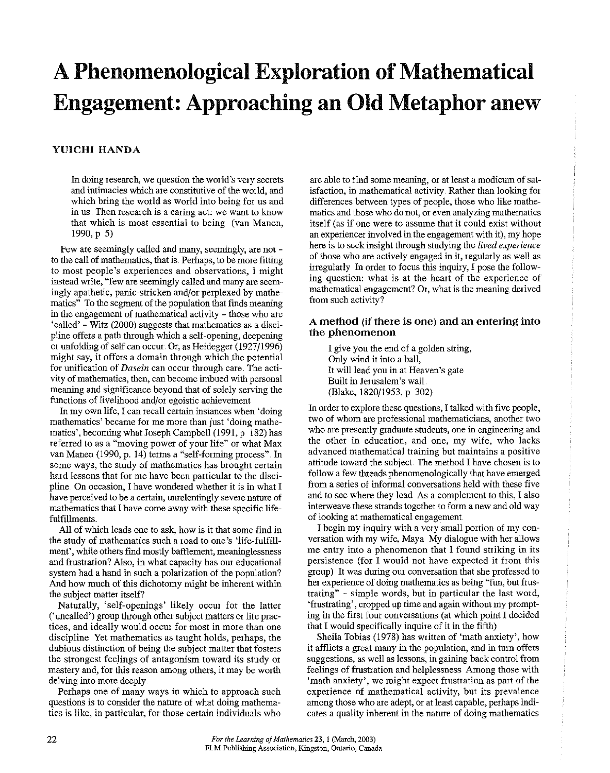# **A Phenomenological Exploration of Mathematical Engagement: Approaching an Old Metaphor anew**

## **YUICHI HANDA**

In doing research, we question the world's very secrets and intimacies which are constitutive of the world, and which bring the world as world into being for us and **in us. Then research is a caring act: we want to know**  that which is most essential to being (van Manen, 1990,p 5)

Few are seemingly called and many, seemingly, are not to the call of mathematics, that is. Perhaps, to be more fitting **to most people's experiences and observations, I might instead write, '"few are seemingly called and many are seem**ingly apathetic, panic-stricken and/or perplexed by mathematics" To the segment of the population that finds meaning in the engagement of mathematical activity - those who are 'called'- Witz (2000) suggests that mathematics as a discipline offers a path through which a self-opening, deepening or unfolding of self can occur. Or, as Heidegger (1927/1996) might say, it offers a domain through which the potential **for unification of** *Dasein* **can occm through care. The activity of mathematics, then, can become imbued with personal**  meaning and significance beyond that of solely serving the functions of livelihood and/or egoistic achievement

In my own life, I can recall certain instances when 'doing **mathematics' became for me more than just 'doing mathe**matics', becoming what Joseph Campbell (1991, p 182) has **referred to as a "moving power of your life" or what Max**  van Manen (1990, p. 14) terms a "self-forming process" In some ways, the study of mathematics has brought certain hard lessons that for me have been particular to the disci**pline On occasion, I have wondered whether it is in what I**  have perceived to be a certain, unrelentingly severe nature of mathematics that I have come away with these specific lifefulfillments.

All of which leads one to ask, how is it that some find in the study of mathematics such a road to one's 'life-fulfillment', while others find mostly bafflement, meaninglessness and frustration? Also, in what capacity has our educational system had a hand in such a polarization of the population? And how much of this dichotomy might be inherent within the subject matter itself?

Naturally, 'self-openings' likely occur for the latter ('uncalled') group through other subject matters or life practices, and ideally would occur for most in more than one discipline Yet mathematics as taught holds, perhaps, the dubious distinction of being the subject matter that fosters the strongest feelings of antagonism toward its study or **mastery and, for this reason among others, it may be worth**  delving into more deeply

Perhaps one of many ways in which to approach such questions is to consider the nature of what doing mathematics is like, in particular, for those certain individuals who are able to find some meaning, or at least a modicum of satisfaction, in mathematical activity. Rather than looking for differences between types of people, those who like mathe**matics and those who do not, or even analyzing mathematics**  itself (as if one were to assume that it could exist without an experiencer involved in the engagement with it), my hope here is to seek insight through studying the *lived experience*  of those who are actively engaged in it, regularly as well as irregularly In order to focus this inquiry, I pose the following question: what is at the heart of the experience of **mathematical engagement? Or, what is the meaning derived**  from such activity?

## **A method (if there is one) and an entering into the phenomenon**

I give you the end of a golden suing, Oniy wind it into a ball, It will lead you in at Heaven's gate Built in Jerusalem's wall (Blake, 1820/1953, p 302)

In order to explore these questions, I talked with five people, **two of whom are professional mathematicians, another two**  who are presently graduate students, one in engineering and **the other in education, and one, my wife, who lacks advanced mathematical training but maintains a positive**  attitude toward the subject The method I have chosen is to follow a few threads phenomenologically that have emerged from a series of informal conversations held with these five and to see where they lead As a complement to this, I also interweave these strands together to form a new and old way of looking at mathematical engagement

I begin my inquiry with a very small portion of my conversation with my wife, Maya My dialogue with her allows me entry into a phenomenon that I found striking in its persistence (for I would not have expected it from this group) It was during our conversation that she professed to **her experience of doing mathematics as being "fim, but frus**trating" - simple words, but in particular the last word, 'frustrating', cropped up time and again without my prompting in the first four conversations (at which point I decided that I would specifically inquire of it in the fifth)

Sheila Tobias (1978) has written of 'math anxiety', how it afflicts a great many in the population, and in turn offers suggestions, as well as lessons, in gaining back control from feelings of frustration and helplessness Among those with 'math anxiety', we might expect frustration as part of the **experience of mathematical activity, but its prevalence**  among those who are adept, or at least capable, perhaps indicates a quality inherent in the nature of doing mathematics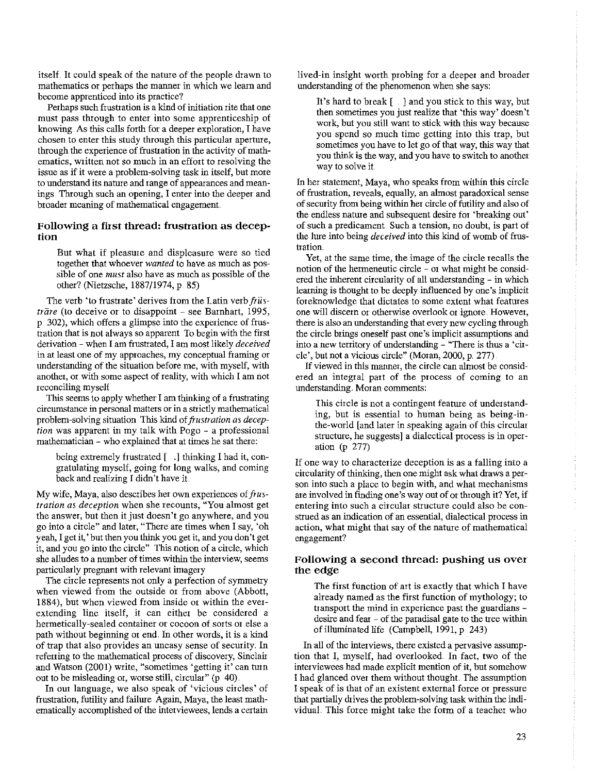itself. It could speak of the nature of the people drawn to mathematics or perhaps the manner in which we learn and become apprenticed into its practice?

Perhaps such frustration is a kind of initiation rite that one must pass through to enter into some apprenticeship of knowing. *As* this calls forth for a deeper exploration, I have chosen to enter this study through this particular aperture, through the experience of frustration in the activity of mathematics, written not so much in an effott to resolving the issue as if it were a problem-solving task in itself, but more to understand its nature and range of appearances and meanings. Through such an opening, I enter into the deeper and broader meaning of mathematical engagement

## Following a first thread: frustration as deception

But what if pleasure and displeasure were so tied together that whoever *wanted* to have as much as possible of one *must* also have as much as possible of the other? (Nietzsche, 1887/1974, p. 85)

The verb 'to frustrate' derives from the Latin verb  $\hat{f}$ *i* us*trare* (to deceive or to disappoint - see Barnhart, 1995, p 302), which offers a glimpse into the experience of frustration that is not always so apparent To begin with the first derivation- when I am frustrated, I am most likely *deceived*  in at least one of my approaches, my conceptual framing or understanding of the situation before me, with myself, with another, or with some aspect of reality, with which I am not reconciling myself

This seems to apply whether I am thinking of a frustrating circumstance in personal matters or in a strictly mathematical problem-solving situation This kind of *frustration as deception* was apparent in my talk with Pogo - a professional mathematician - who explained that at times he sat there:

being extremely frustrated [ ..] thinking I had it, congratulating myself, going for long walks, and coming back and realizing I didn't have it

My wife, Maya, also describes her own experiences of frus*tration as deception* when she recounts, "You almost get the answer, but then it just doesn't go anywhere, and you go into a circle" and later, "There are times when I say, 'oh yeah, I get it,' but then you think you get it, and you don't get it, and you go into the circle" This notion of a circle, which she alludes to a number of times within the interview, seems particularly pregnant with relevant imagery

The circle represents not only a perfection of symmetry when viewed from the outside or from above (Abbott, 1884), but when viewed from inside or within the everextending line itself, it can either be considered a hermetically-sealed container or cocoon of sorts or else a path without begimring or end. In other words, it is a kind of trap that also provides an uneasy sense of security. In refening to the mathematical process of discovery, Sinclair and Watson (2001) write, "sometimes 'getting it' can turn out to be misleading or, worse still, circular" (p 40)

In out language, we also speak of 'vicious circles' of frustration, futility and failure Again, Maya, the least mathematically accomplished of the interviewees, lends a certain lived-in insight worth probing for a deeper and broader understanding of the phenomenon when she says:

It's hard to break [ . ] and you stick to this way, but then sometimes you just realize that 'this way' doesn't work, but you still want to stick with this way because you spend so much time getting into this trap, but sometimes you have to let go of that way, this way that you think is the way, and you have to switch to another way to solve it

In her statement, Maya, who speaks from within this circle of frustration, reveals, equally, an almost paradoxical sense of security from being within her circle of futility and also of the endless nature and subsequent desire for 'breaking out' of such a predicament. Such a tension, no doubt, is part of the lure into being *deceived* into this kind of womb of frustration

Yet, at the same time, the image of the circle recalls the notion of the hermeneutic circle - or what might be considered the inherent circularity of all understanding - in which learning is thought to be deeply influenced by one's implicit foreknowledge that dictates to some extent what features one will discern or otherwise overlook ot ignore. However, there is also an understanding that every new cycling through the circle brings oneself past one's implicit assumptions and into a new territory of understanding - "There is thus a 'citcle', but not a vicious circle" (Moran, 2000, p. 277)

If viewed in this manner, the cirde can almost be considered an integral part of the process of coming to an understanding. Moran comments:

This circle is not a contingent feature of understanding, but is essential to human being as being-inthe-world [and later in speaking again of this circular structure, he suggests] a dialectical process is in operation (p 277)

If one way to characterize deception is as a falling into a circularity of thinking, then one might ask what draws a person into such a place to begin with, and what mechanisms are involved in finding one's way out of or through it? Yet, if entering into such a circular structure could also be construed as an indication of an essential, dialectical process in action, what might that say of the nature of mathematical engagement?

### Following a second thread: pushing us over the edge

The first function of art is exactly that which I have already named as the first function of mythology; to transport the mind in experience past the guardians desire and fear - of the paradisal gate to the tree within of illunrinated life (Campbell, 1991, p 243)

In all of the interviews, there existed a pervasive assumption that I, myself, had overlooked. In fact, two of the interviewees had made explicit mention of it, but somehow I had glanced over them without thought. The assumption I speak of is that of an existent external force or pressure that partially drives the problem-solving task within the individual This force might take the form of a teacher who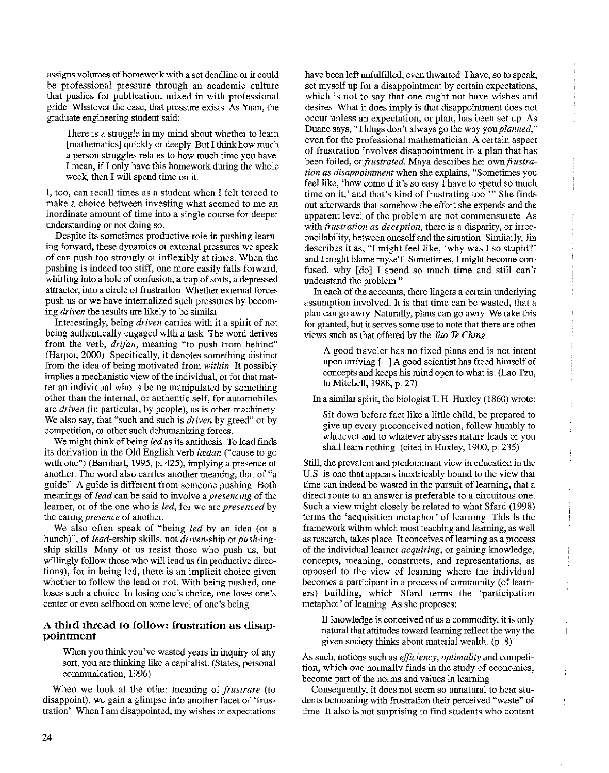assigns volumes of homework with a set deadline or it could be professional pressure through an academic culture that pushes for publication, mixed in with professional **pride Whatever the case, that pressure exists As Yuan, the**  graduate engineering student said:

There is a struggle in my mind about whether to learn [mathematics] quickly or deeply But I think how much a person struggles relates to how much time you have I mean, if I only have this homework during the whole week, then I will spend time on it.

I, too, can recall times as a student when I felt forced to **make a choice between investing what seemed to me an inordinate amount of time into a single course for deeper**  understauding or not doing so.

**Despite its sometimes productive role in pushing learn**ing forward, these dynamics or external pressures we speak of can push too strongly or inflexibly at times. When the pushing is indeed too stiff, one more easily falls forward, whitling into a hole of confusion, a trap of sorts, a depressed attractor, into a circle of frustration Whether external forces push us or we have internalized such pressures by becoming *driven* the resnlts are likely to be similar.

Interestingly, being *driven* canies with it a spirit of not being authentically engaged with a task The word derives from the verb, *drifan,* meaning "to push from behind" (Harper, 2000) Specifically, it denotes something distinct from the idea of being motivated from *within.* It possibly **implies a mechanistic view of the individual, 01 for that mat**ter an individual who is being manipulated by something **other than the internal, or authentic self, for automobiles**  are *driven* (in particular, by people), as is other machinery. We also say, that "such and such is *driven* by greed" or by competition, or other such dehumanizing forces.

We might think of being *led* as its antithesis To lead finds its derivation in the Old English verb *lædan* ("cause to go with one") (Barnhart, 1995, p. 425), implying a presence of **another The word also canies another meaning, that of "a**  guide" A guide is different from someone pushing Both meauings of *lead* cau be said to involve a *presencing* of the **learner,** *01* **of the one who is** *led,* **for we are** *presenced* **by**  the caring *presence* of another.

We also often speak of "being *led* by an idea (or a hunch)", of *lead-ership* skills, not *driven-ship* or *push-ing*ship skills Many of us resist those who push us, but willingly follow those who will lead us (in productive directions), for in being led, there is an implicit choice given whether to follow the lead or not. With being pushed, one **loses such a choice In losing one's choice, one loses one's center or even selfhood on some level of one's being** 

### **A third thread to follow: frustration as disappointment**

When you think you've wasted years in inquiry of any sort, you are thinking like a capitalist (States, personal communication, 1996)

When we look at the other meaning of *frustrare* (to disappoint), we gain a glimpse into another facet of 'frus**tration' When I am disappointed, my wishes or expectations** 

have been left unfulfilled, even thwarted. I have, so to speak, set myself up for a disappointment by certain expectations, which is not to say that one ought not have wishes and desires. What it does imply is that disappointment does not **occur unless an expectation, or plan, has been set up As**  Duane says, "Things don't always go the way you *planned*," **even for the professional mathematician. A certain aspect**  of frustration involves disappointment in a piau that has been foiled, or *frustrated*. Maya describes her own *frustration as disappointment* **when she explains, "Sometimes you**  feel like, 'how come if it's so easy I have to spend so much time on it,' and that's kind of frustrating too "" She finds out afterwards that somehow the effort she expends aud the apparent level of the problem are not commensurate As with  $\hat{p}$  *ustration as deception*, there is a disparity, or irreconcilability, between oneself aud the situation Similarly, Jin describes it as, "I might feel like, 'why was I so stupid?' and I might blame myself Sometimes, I might become confused, why [do] I spend so much time and still can't understand the problem."

In each of the accounts, there lingers a certain underlying **assumption involved It is that time can be wasted, that a**  plan can go awry Naturally, plans can go awry. We take this **for granted, but it serves some use to note that there are other**  views such as that offered by the *Tao Te Ching* 

A good traveler has no fixed plans and is not intent upon arriving [ ) A good scientist has freed himself of concepts aud keeps his mind open to what is. (Lao Tzu, in Mitchell, 1988, p. 27)

In a similar spirit, the biologist  $T$ . H. Huxley (1860) wrote:

Sit down before fact like a little child, be prepared to give up every preconceived notion, follow humbly to **wherever and to whatever abysses nature leads or you**  shall learn nothing. (cited in Huxley, 1900, p. 235)

Still, the prevalent and predominant view in education in the U.S is one that appears inextricably bound to the view that time can indeed be wasted in the pursuit of learning, that a **direct route to an answer is preferable to a circuitous one**  Such a view might closely be related to what Sfard (1998) terms the 'acquisition metaphor' of learning This is the framework within which most teaching and learning, as well **as research, takes place It conceives of learning as a process**  of the individual learner *acquiring*, or gaining knowledge, **concepts, meaning, constructs, and representations, as**  opposed to the view of learning where the individual becomes a participant in a process of community (of learners) building, which Sfard terms the 'participation metaphor' of learning As she proposes:

If knowledge is conceived of as a commodity, it is only natural that attitudes toward learning reflect the way the given society thinks about material wealth. (p 8)

As such, notions such as *efficiency*, *optimality* and competi**tion, which one normally finds in the study of economics,**  become part of the norms and values in learning.

**Consequently, it does not seem so unnatural to hear stu**dents bemoaning with frustration their perceived "waste" of time It also is not surprising to find students who content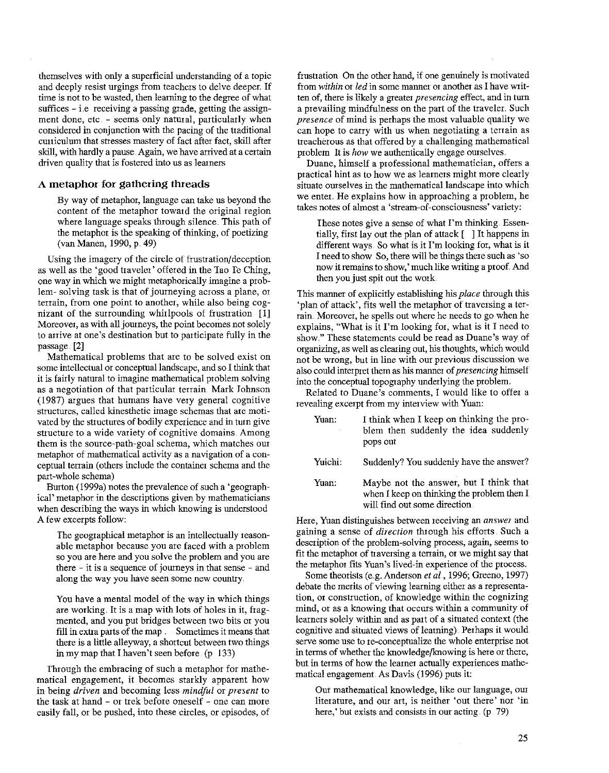themselves with only a superficial understanding of a topic and deeply resist urgings from teachers to delve deeper. If time is not to be wasted, then leaming to the degree of what **suffices - i.e receiving a passing grade, getting the assignment done, etc. - seems only natural, patticularly when**  considered in conjunction with the pacing of the ttaditional curriculum that stresses mastery of fact after fact, skill after skill, with hardly a pause. Again, we have arrived at a certain driven quality that is fostered into us as learners

#### **A metaphor for gathering threads**

By way of metaphor, language can take us beyond the content of the metaphor toward the original region where language speaks through silence. This path of the metaphor is the speaking of thinking, of poetizing (van Manen, 1990, p. 49)

Using the imagery of the circle of frustration/deception as well as the 'good traveler' offered in the Tao Ie Ching, one way in which we might metaphorically imagine a prob**lem- solving task is that of journeying across a plane, or tetrain, from one point to another, while also being cog**nizant of the surrounding whirlpools of frustration  $\begin{bmatrix} 1 \end{bmatrix}$ **Moreover, as with all joutneys, the point becomes not solely**  to arrive at one's destination but to participate fully in the passage. [2]

Mathematical problems that are to be solved exist on some intellectual or conceptual landscape, and so I think that it is fairly natural to imagine mathematical problem solving as a negotiation of that particular terrain. Mark Johnson (1987) argues that humans have very general cognitive **structures, called kinesthetic image schemas that are moti**vated by the structures of bodily experience and in turn give **structure to a wide variety of cognitive domains. Among them is the source-path-goal schema, which matches our metaphor of mathematical activity as a navigation of a con**ceptual terrain (others include the container schema and the part-whole schema)

Button (1999a) notes the prevalence of such a 'geographical' metaphor in the desctiptions given by mathematicians when describing the ways in which knowing is understood A few excerpts follow:

Ihe geographical metaphor is an intellectually reasonable metaphor because you are faced with a problem so you are here and you solve the problem and you are **there - it is a sequence of journeys in that sense - and along the way you have seen some new country** 

You have a mental model of the way in which things are working. It is a map with lots of holes in it, fragmented, and you put bridges between two bits or you fill in extra parts of the map . Sometimes it means that there is a little alleyway, a shortcut between two things in my map that I haven't seen before. (p 133)

Through the embracing of such a metaphor for mathe**matical engagement, it becomes starkly apparent how**  in being *driven* and becoming less *mindful* or *present* to the task at hand - or trek before oneself - one can more easily fall, or be pushed, into these circles, or episodes, of frusttation. On the other hand, if one genuinely is motivated **from** *within* **or** *led* **in some manner or another as I have writ**ten of, there is likely a greater *presenting* effect, and in turn a prevailing mindfulness on the part of the ttaveler. Such *presence* of mind is perhaps the most valuable quality we **can hope to carry with us when negotiating a tenain as**  treacherous as that offered by a challenging mathematical problem It is *how* we authentically engage ourselves.

**Duane, himself a professional mathematician, offers a**  practical hint as to how we as learners might more clearly situate ourselves in the mathematical landscape into which we enter.. He explains how in approaching a problem, he takes notes of almost a 'stream-of-consciousness' variety:

These notes give a sense of what I'm thinking. Essentially, first lay out the plan of attack [ ] It happens in different ways. So what is it I'm looking for, what is it I need to show So, there will be things there such as 'so now it remains to show,' much like writing a proof And then you just spit out the work.

This marmer of explicitly establishing his *place* through this 'plan of attack', fits well the metaphor of traversing a terrain. Moreover, he spells out where he needs to go when he explains, "What is it I'm looking for, what is it I need to **show." These statements could be read as Duane's way of**  organizing, as well as clearing out, his thoughts, which would not be wrong, but in line with our previous discussion we also could interpret them as his marmet of *presencing* himself into the conceptual topography underlying the problem.

Related to Duane's comments, I would like to offer a **revealing excerpt from my interview with Yuan:** 

| Yuan:<br>$\overline{\phantom{a}}$ | I think when I keep on thinking the pro-<br>blem then suddenly the idea suddenly<br>pops out                          |
|-----------------------------------|-----------------------------------------------------------------------------------------------------------------------|
| Yuichi:                           | Suddenly? You suddenly have the answer?                                                                               |
| Yuan:                             | Maybe not the answer, but I think that<br>when I keep on thinking the problem then I<br>will find out some direction. |

**Here, Yuan distinguishes between receiving an** *answer* **and**  gaining a sense of *direction* through his efforts. Such a **description of the problem-solving process, again, seems to**  fit the metaphor of traversing a terrain, or we might say that the metaphor fits Yuan's lived-in experience of the process.

Some theorists (e.g. Anderson *et al.*, 1996; Greeno, 1997) **debate the merits of viewing learning either as a representation, or construction, of knowledge within the cognizing mind, or as a knowing that occurs within a community of**  learners solely within and as part of a situated context (the cognitive and situated views of learning). Perhaps it would **serve some use to re-conceptualize the whole enterprise not**  in terms of whether the knowledge/knowing is here or there, but in terms of how the learner actually experiences mathematical engagement. As Davis (1996) puts it:

Out mathematical knowledge, like om language, our literature, and our art, is neither 'out there' nor 'in here,' but exists and consists in our acting. (p. 79)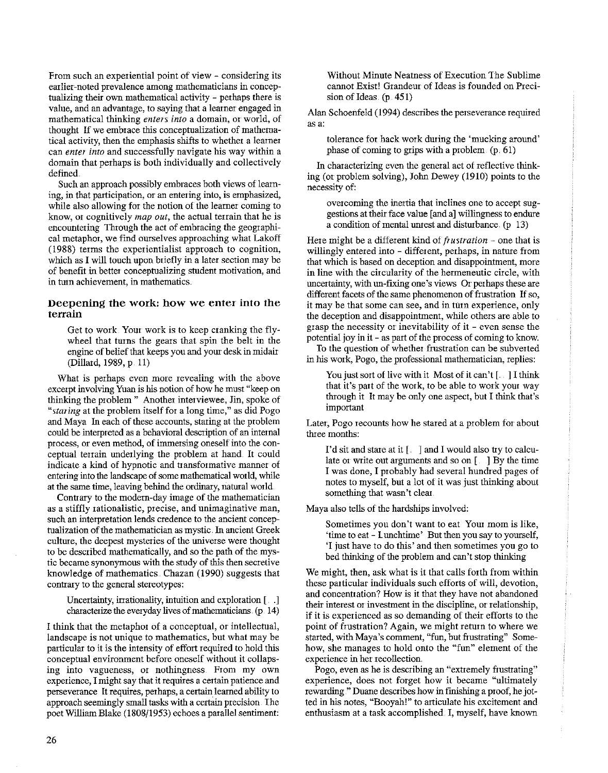**From such an experiential point of view - considering its eatlier-noted prevalence among mathematicians in concep**tualizing their own mathematical activity - perhaps there is value, and an advantage, to saying that a Ieamer engaged in mathematical thinking *enters into* a domain, or world, of thought If we embrace this conceptualization of mathematical activity, then the emphasis shifts to whether a learner **can** *enter into* **and successfully navigate his way within a**  domain that perhaps is both individually and collectively defined

Such an approach possibly embraces both views of learn**ing, in that patticipation, or an entering into, is emphasized,**  while also allowing for the notion of the learner coming to **know, or cognitively** *map out,* **the actual terrain that he is**  encountering Through the act of embracing the geographical metaphor, we find ourselves approaching what Lakoff (1988) terms the experientialist approach to cognition, which as I will touch upon briefly in a later section may be of benefit in better conceptualizing student motivation, and **in tutn achievement, in mathematics** 

## **Deepening the work: how we enter into the terrain**

Get to work. Your work is to keep cranking the flywheel that turns the gears that spin the belt in the engine of belief that keeps you and your desk in midair (Dillard, 1989, p. II)

**What is perhaps even more revealing with the above**  excerpt involving Yuan is his notion of how he must "keep on thinking the problem " Another interviewee, Jin, spoke of *"staring* at the problem itself for a long time," as did Pogo and Maya In each of these accounts, staring at the problem could be interpreted as a behavioral description of an internal **process, or even method, of immersing oneself into the con**ceptual terrain underlying the problem at hand. It could indicate a kind of hypnotic and ttansformative marmer of entering into the landscape of some mathematical world, while at the same time, leaving behind the ordinary, natural world

Conttary to the modern-day image of the mathematician **as a stiffly rationalistic, precise, and unimaginative man, such an interpretation lends credence to the ancient concep**tualization of the mathematician as mystic. In ancient Greek culture, the deepest mysteries of the universe were thought to be described mathematically, and so the path of the mystic became synonymous with the study of this then secretive knowledge of mathematics. Chazan (1990) suggests that contrary to the general stereotypes:

Uncertainty, irrationality, intuition and exploration[ .. ] characterize the everyday lives of mathematicians. (p. 14)

I think that the metaphor of a conceptual, or intellectual, landscape is not unique to mathematics, but what may be particular to it is the intensity of effort required to hold this conceptual environment before oneself without it collaps**ing into vagueness, or nothingness. From my own experience, I might say that it requires a certain patience and**  perseverance It requires, perhaps, a certain learned ability to approach seemingly small tasks with a certain precision The poet William Blake (1808/1953) echoes a parallel sentiment:

Without Minute Neatness of Execution The Sublime **cannot Exist! Grandeur of Ideas is founded on Preci**sion of Ideas. (p. 451)

Alan Schoenfeld (1994) describes the perseverance required **as a:** 

tolerance for hack work during the 'mucking around' phase of coming to grips with a problem (p. 61)

In characterizing even the general act of reflective thinking (or problem solving), John Dewey (1910) points to the **necessity of:** 

overcoming the inettia that inclines one to accept suggestions at their face value [and a] willingness to endure a condition of mental umest and disturbance. (p 13)

Here might be a different kind of *frustration-* one that is willingly entered into - different, perhaps, in nature from that which is based on deception and disappointment, more in line with the circularity of the hetmeneutic circle, with **uncertainty, with un-fixing one's views Or perhaps these are**  different facets of the same phenomenon of frustration If so, **it may be that some can see, and in turn experience, only**  the deception and disappointment, while others are able to **grasp the necessity or inevitability of it - even sense the**  potential joy in it - as part of the process of coming to know.

To the question of whether fmstration can be subverted **in his work, Pogo, the professional mathematician, replies:** 

You just sort of live with it Most of it can't  $\lceil \cdot \cdot \rceil$  I think that it's part of the work, to be able to work your way through it It may be only one aspect, but I think that's important

Later, Pogo recounts how he stared at a problem for about **three months:** 

I'd sit and state at it  $[$  ] and I would also tty to calculate or write out arguments and so on  $\lceil \cdot \cdot \rceil$  By the time I was done, I probably had several hundred pages of notes to myself, but a lot of it was just thinking about something that wasn't clear.

Maya also tells of the hardships involved:

**Sometimes you don't want to eat Your mom is like,**  'time to eat- Lunchtime' But then you say to yourself, 'I just have to do this' and then sometimes you go to bed thinking of the problem and can't stop thinking

We might, then, ask what is it that calls forth from within these particular individuals such efforts of will, devotion, and concenttation? How is it that they have not abandoned their interest or investment in the discipline, or relationship, if it is experienced as so demanding of their efforts to the **point of frustration? Again, we might return to where we statted, with Maya's comment, "fun, but frustrating" Some**how, she manages to hold onto the "fun" element of the **experience in her recollection.** 

**Pogo, even as he is describing an "extremely frustrating"**  experience, does not forget how it became "ultimately rewarding "Duane describes how in fmishing a proof, he jot**ted in his notes, "Booyah!" to atticulate his excitement and**  enthusiasm at a task accomplished. I, myself, have known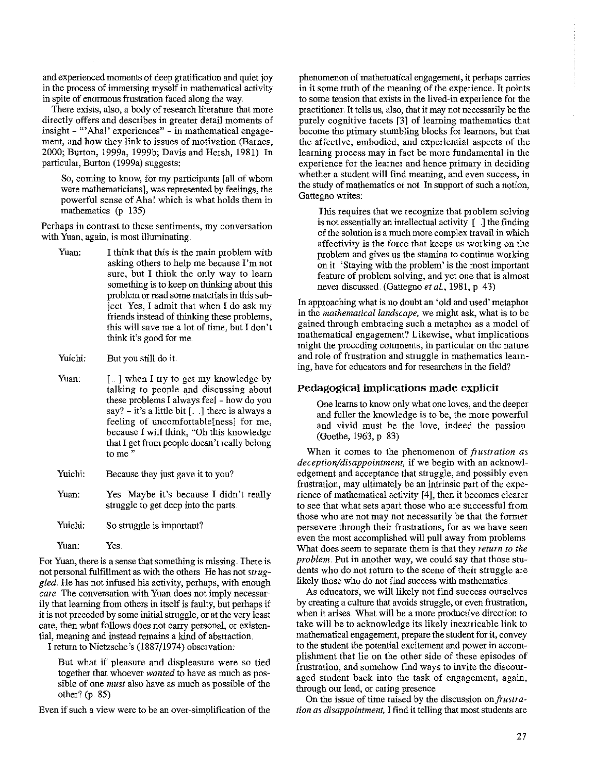and experienced moments of deep gratification and quiet joy in the process of inrmersing myself in mathematical activity in spite of enormous frustration faced along the way.

There exists, also, a body of research literature that more directly offers and describes in greater detail moments of insight - "'Aha!' experiences" - in mathematical engage**ment, and how they link to issues of motivation (Barnes,**  2000; Burton, 1999a, 1999b; Davis and Hersh, 1981) In particular, Burton (1999a) suggests:

So, coming to know, for my participants [all of whom **were mathematicians], was represented by feelings, the**  powerful sense of Aha! which is what holds them in mathematics (p 135)

**Perhaps in contrast to these sentiments, my conversation**  with Yuan, again, is most illuminating

- Yuan: I think that this is the main problem with asking others to help me because I'm not sure, but I think the only way to learn something is to keep on thinking about this problem or read some materials in this subject. Yes, I admit that when I do ask my friends instead of thinking these problems, this will save me a lot of time, but I don't think it's good for me
- Yuichi: But you still do it
- Yuan:  $\lceil \cdot \cdot \rceil$  when I try to get my knowledge by talking to people and discussing about these problems I always feel - how do you say? - it's a little bit [...] there is always a feeling of uncomfortable[ness] for me, because I will think, "Oh this knowledge that I get from people doesn't really belong **tome"**
- Yuichi: Because they just gave it to you?
- Yuan: Yes Maybe it's because I didn't really struggle to get deep into the parts.

Yuichi: So struggle is important?

Yuan: Yes.

**Fot Yuan, there is a sense that something is missing There is**  not personal fulfillment as with the others He has not *struggled.* He has not infused his activity, perhaps, with enough *care* **The conversation with Yuan does not imply necessar**ily that learning from others in itself is faulty, but perhaps if it is not preceded by some initial struggle, or at the very least **care, then what follows does not carry personal, or existen**tial, meaning and instead remains a kind of abstraction.

I return to Nietzsche's (1887/1974) observation:

But what if pleasure and displeasure were so tied **together that whoever** *wanted* **to have as much as pos**sible of one *must* also have as much as possible of the other? (p 85)

Even if such a view were to be an over-simplification of the

**phenomenon of mathematical engagement, it perhaps carries**  in it some truth of the meaning of the experience. It points **to some tension that exists in the lived-in experience for the**  practitioner. It tells us, also, that it may not necessarily be the purely cognitive facets [3] of learning mathematics that become the primary stmnbling blocks for learners, but that the affective, embodied, and experiential aspects of the learning process may in fact be more fundamental in the experience for the learner and hence primary in deciding **whether a student will find meaning, and even success, in**  the study of mathematics or not. In support of such a notion, Gattegno writes:

This requires that we recognize that problem solving is not essentially an intellectual activity  $\int$  1 the finding of the solution is a much more complex travail in which affectivity is the force that keeps us working on the problem and gives us the stamina to continue working on it. 'Staying with the problem' is the most important feature of problem solving, and yet one that is almost never discussed (Gattegno *et al.,* 1981, p 43)

In approaching what is no doubt an 'old and used' metaphor in the *mathematical landscape,* we might ask, what is to be gained through embracing such a metaphor as a model of **mathematical engagement? Likewise, what implications**  might the preceding comments, in particular on the nature and role of frustration and struggle in mathematics learning, have for educators and for researchers in the field?

#### **Pedagogical implications made explicit**

One learns to know oniy what one loves, and the deeper and fuller the knowledge is to be, the more powerful and vivid must be the love, indeed the passion (Goethe, 1963, p 83)

**When it comes to the phenomenon of** *frustration as deception/disappointment,* if we begin with an acknowledgement and acceptance that struggle, and possibly even frustration, may ultimately be an intrinsic part of the experience of mathematical activity [4], then it becomes clearet **to see that what sets apart those who are successful from**  those who are not may not necessarily be that the former **persevere through their frustrations, for as we have seen**  even the most accomplished will pull away from problems What does seem to separate them is that they *return to the problem.* Put in another way, we could say that those students who do not return to the scene of their struggle are likely those who do not find success with mathematics

As educators, we will likely not find success ourselves by creating a culture that avoids struggle, or even frustration, when it arises. What will be a more productive direction to take will be to acknowledge its likely inextricable link to **mathematical engagement, prepare the student fot it, convey to the student the potential excitement and power in accom**plishment that lie on the other side of these episodes of **frustration, and somehow find ways to invite the discour**aged student back into the task of engagement, again, through our lead, or caring presence

On the issue of time raised by the discussion on *frustration as disappointment*, I find it telling that most students are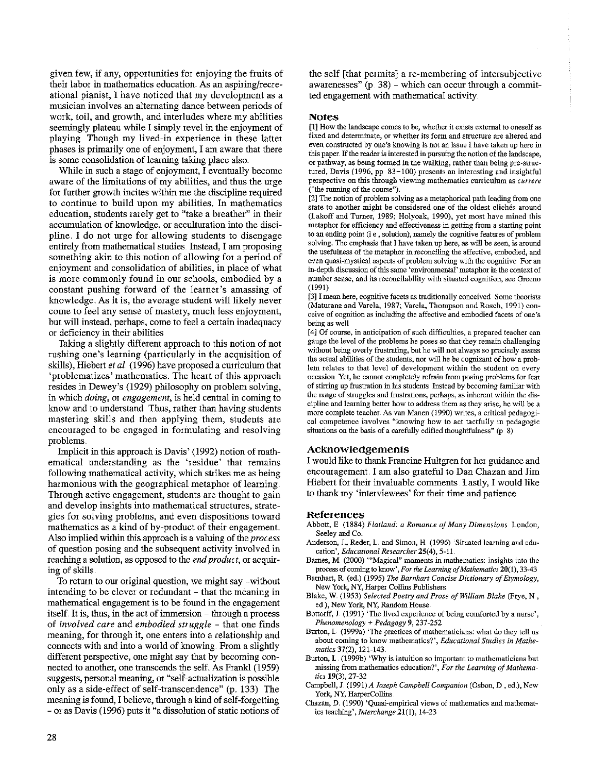given few, if any, opportunities for enjoying the fruits of theit labor in mathematics education. As an aspiring/recreational pianist, I have noticed that my development as a musician involves an alternating dance between periods of work, toil, and growth, and interludes where my abilities seemingly plateau while I simply revel in the enjoyment of playing Though my lived-in experience in these latter phases is primarily one of enjoyment, I am aware that there is some consolidation of learning taking place also

While in such a stage of enjoyment, I eventually become aware of the limitations of my abilities, and thus the mge for further growth incites within me the discipline required to continue to build upon my abilities. In mathematics education, students rarely get to "take a breather" in their accumulation of knowledge, or acculturation into the discipline. I do not urge for allowing students to disengage entirely from mathematical studies Instead, I am proposing something akin to this notion of allowing for a period of enjoyment and consolidation of abilities, in place of what is more commonly found in our schools, embodied by a constant pushing forward of the learner's amassing of knowledge. As it is, the average student will likely never come to feel any sense of mastery, much less enjoyment, but will instead, perhaps, come to feel a certain inadequacy or deficiency in their abilities

Taking a slightly different approach to this notion of not rushing one's learning (particularly in the acquisition of skills), Hiebert *et al.* (1996) have proposed a curriculum that 'problematizes' mathematics. The heart of this approach resides in Dewey's (1929) philosophy on problem solving, in which *doing,* or *engagement,* is held central in coming to know and to understand Thus, rather than having students mastering skills and then applying them, students are encouraged to be engaged in formulating and resolving problems

Implicit in this approach is Davis' (1992) notion of mathematical understanding as the 'residue' that remains following mathematical activity, which strikes me as being harmonious with the geographical metaphor of learning Through active engagement, students are thought to gain and develop insights into mathematical structures, strategies for solving problems, and even dispositions toward mathematics as a kind of by-product of their engagement Also implied within this approach is a valuing of the *proces;s*  of question posing and the subsequent activity involved in reaching a solution, as opposed to the *end product,* or acquiring of skills

To return to our original question, we might say -without intending to be clever or redundant - that the meaning in mathematical engagement is to be found in the engagement itself. It is, thus, in the act of immersion - through a process of *involved care* and *embodied struggle* - that one finds meaning, for through it, one enters into a relationship and connects with and into a world of knowing. From a slightly different perspective, one might say that by becoming connected to another, one transcends the self. As Frankl (1959) suggests, personal meaning, 01 "self-actualization is possible only as a side-effect of self-transcendence" (p. 133) The meaning is found, I believe, through a kind of self-forgetting -or as Davis (1996) puts it "a dissolution of static notions of

the self [that permits] a re-membering of intersubjective awarenesses"  $(p 38)$  - which can occur through a committed engagement with mathematical activity

#### Notes

[1] How the landscape comes to be, whether it exists external to oneself as fixed and determinate, or whether its form and structure are altered and even constructed by one's knowing is not an issue I have taken up here in this paper. If the reader is interested in pursuing the notion of the landscape, or pathway, as being formed in the walking, rather than being pre-structured, Davis (1996, pp 83-100) presents an interesting and insightful perspective on this through viewing mathematics curriculum as *currere*  ("the running of the course").

[2] The notion of problem solving as a metaphorical path leading from one state to another might be considered one of the oldest cliches around (lakoff and Turner, 1989; Holyoak, 1990), yet most have mined this metaphor for efficiency and effectiveness in getting from a starting point to an ending point (i e , solution}, namely the cognitive features of problem solving. The emphasis that I have taken up here, as will be seen, is around the usefulness of the metaphor in reconciling the affective, embodied, and even quasi-mystical aspects of problem solving with the cognitive For an in-depth discussion of this same 'environmental' metaphor in the context of number sense, and its reconcilability with situated cognition, see Greeno (1991)

[3] I mean here, cognitive facets as traditionally conceived Some theorists (Maturana and Varela, 1987; Varela, Thompson and Rosch, 1991) conceive of cognition as including the affective and embodied facets of one's being as well

[ 4] Of course, in anticipation of such difficulties, a prepared teacher can gauge the level of the problems he poses so that they remain challenging without being overly frustrating, but he will not always so precisely assess the actual abilities of the students, nor will he be cognizant of how a problem relates to that level of development within the student on every occasion Yet, he cannot completely refrain from posing problems for fear of stirring up frustration in his students Instead by becoming familiar with the range of struggles and frustrations, perhaps, as inherent within the discipline and learning better how to address them as they arise, he will be a more complete teacher As van Manen (1990) writes, a critical pedagogical competence involves "knowing how to act tactfully in pedagogic situations on the basis of a carefully edified thoughtfulness" (p 8)

#### Acknowledgements

I would like to thank Francine Hultgren for her guidance and encomagement. I am also grateful to Dan Chazan and Jim Hiebert for their invaluable comments lastly, I would like to thank my 'interviewees' for their time and patience.

#### References

- Abbott, E (1884) *Flatland.: a Romance of Many Dimensions* London, Seeley and Co.
- Anderson, J., Reder, L. and Simon, H. (1996) 'Situated learning and education', *Educational Researcher* 25(4), 5-11.
- Barnes, M (2000) "'Magical" moments in mathematics: insights into the process of coming to know', *For the Learning of Mathematics* 20(1), 33-43
- Barnhart, R. (ed.) (1995) *The Barnhart Concise Dictionary of Etymology*, New York, NY, Harper Collins Publishers
- Blake, W. (1953) *Selected Poetry and Prose of William Blake* (Frye, N, ed ), New York, NY, Random House
- Bottorff, J (1991) 'The lived experience of being comforted by a nurse', *Phenomenology+ Pedagogy* 9, 237-252
- Burton, L (1999a) 'The practices of mathematicians: what do they tell us about coming to know mathematics?', *Educational Studies in Mathematics* 37(2), 121-143
- Burton, L. (1999b) 'Why is intuition so important to mathematicians but missing from mathematics education?', *For the Learning of Mathema*tics 19(3), 27-32
- Campbell, J. (1991)A *Joseph Campbell Companion* (Osbon, D, ed.), New York, NY, HarperCollins
- Chazan, D. (1990) 'Quasi-empirical views of mathematics and mathematics teaching', *Interchange* 21(1), 14-23